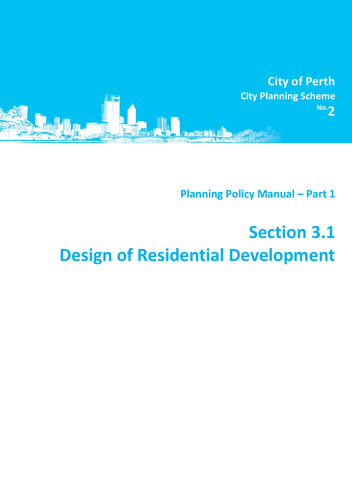

**Planning Policy Manual - Part 1** 

## **Section 3.1 Design of Residential Development**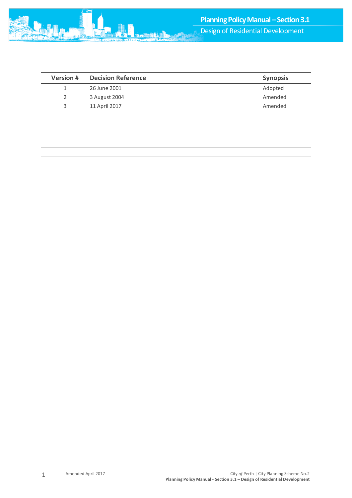

| <b>Version #</b> | <b>Decision Reference</b> | <b>Synopsis</b> |
|------------------|---------------------------|-----------------|
|                  | 26 June 2001              | Adopted         |
|                  | 3 August 2004             | Amended         |
|                  | 11 April 2017             | Amended         |
|                  |                           |                 |

1